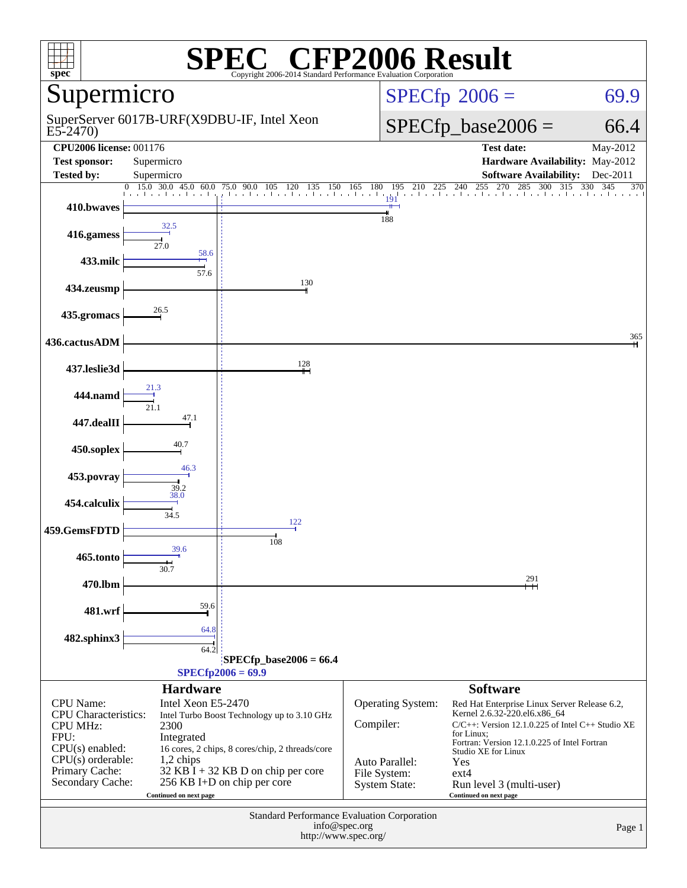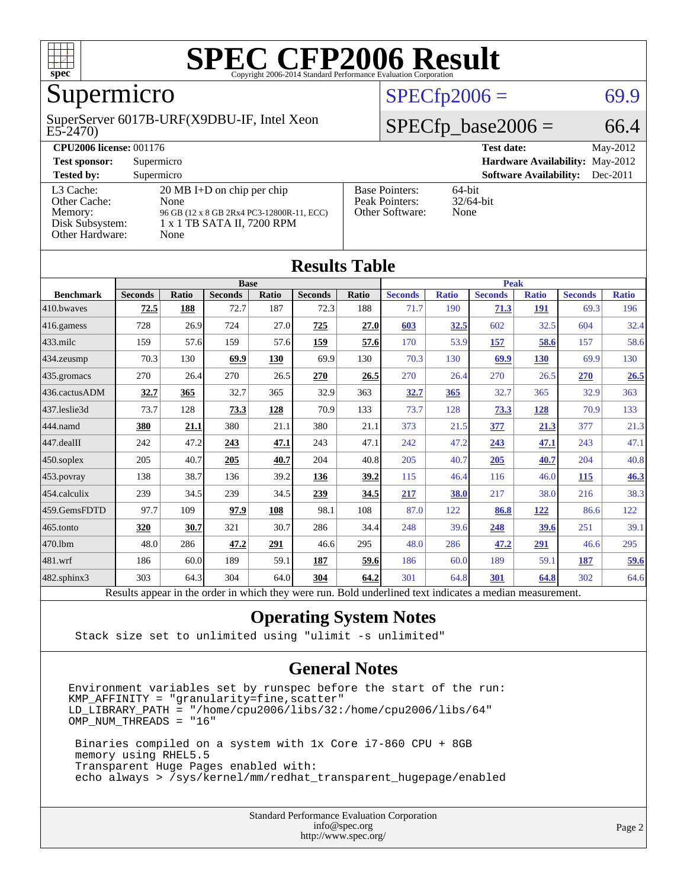

### Supermicro

#### E5-2470) SuperServer 6017B-URF(X9DBU-IF, Intel Xeon

#### $SPECfp2006 = 69.9$  $SPECfp2006 = 69.9$

#### $SPECfp\_base2006 = 66.4$

| <b>CPU2006 license: 001176</b>                                             |                                                                                                                                 |                                                            | May-2012<br><b>Test date:</b>     |
|----------------------------------------------------------------------------|---------------------------------------------------------------------------------------------------------------------------------|------------------------------------------------------------|-----------------------------------|
| <b>Test sponsor:</b>                                                       | Supermicro                                                                                                                      | <b>Hardware Availability: May-2012</b>                     |                                   |
| <b>Tested by:</b>                                                          | Supermicro                                                                                                                      | <b>Software Availability:</b><br>$Dec-2011$                |                                   |
| L3 Cache:<br>Other Cache:<br>Memory:<br>Disk Subsystem:<br>Other Hardware: | $20 \text{ MB I+D}$ on chip per chip<br>None<br>96 GB (12 x 8 GB 2Rx4 PC3-12800R-11, ECC)<br>1 x 1 TB SATA II, 7200 RPM<br>None | <b>Base Pointers:</b><br>Peak Pointers:<br>Other Software: | $64$ -bit<br>$32/64$ -bit<br>None |

| <b>Results Table</b> |                                                                                                          |       |                |       |                |              |                |              |                |              |                |              |
|----------------------|----------------------------------------------------------------------------------------------------------|-------|----------------|-------|----------------|--------------|----------------|--------------|----------------|--------------|----------------|--------------|
|                      | <b>Base</b>                                                                                              |       |                |       |                | <b>Peak</b>  |                |              |                |              |                |              |
| <b>Benchmark</b>     | <b>Seconds</b>                                                                                           | Ratio | <b>Seconds</b> | Ratio | <b>Seconds</b> | <b>Ratio</b> | <b>Seconds</b> | <b>Ratio</b> | <b>Seconds</b> | <b>Ratio</b> | <b>Seconds</b> | <b>Ratio</b> |
| 410.bwayes           | 72.5                                                                                                     | 188   | 72.7           | 187   | 72.3           | 188          | 71.7           | 190          | 71.3           | <b>191</b>   | 69.3           | 196          |
| 416.gamess           | 728                                                                                                      | 26.9  | 724            | 27.0  | 725            | 27.0         | 603            | 32.5         | 602            | 32.5         | 604            | 32.4         |
| 433.milc             | 159                                                                                                      | 57.6  | 159            | 57.6  | 159            | 57.6         | 170            | 53.9         | 157            | 58.6         | 157            | 58.6         |
| 434.zeusmp           | 70.3                                                                                                     | 130   | 69.9           | 130   | 69.9           | 130          | 70.3           | 130          | 69.9           | 130          | 69.9           | 130          |
| 435.gromacs          | 270                                                                                                      | 26.4  | 270            | 26.5  | 270            | 26.5         | 270            | 26.4         | 270            | 26.5         | 270            | 26.5         |
| 436.cactusADM        | 32.7                                                                                                     | 365   | 32.7           | 365   | 32.9           | 363          | 32.7           | 365          | 32.7           | 365          | 32.9           | 363          |
| 437.leslie3d         | 73.7                                                                                                     | 128   | 73.3           | 128   | 70.9           | 133          | 73.7           | 128          | 73.3           | 128          | 70.9           | 133          |
| 444.namd             | 380                                                                                                      | 21.1  | 380            | 21.1  | 380            | 21.1         | 373            | 21.5         | 377            | 21.3         | 377            | 21.3         |
| 447.dealII           | 242                                                                                                      | 47.2  | 243            | 47.1  | 243            | 47.1         | 242            | 47.2         | 243            | 47.1         | 243            | 47.1         |
| 450.soplex           | 205                                                                                                      | 40.7  | 205            | 40.7  | 204            | 40.8         | 205            | 40.7         | 205            | 40.7         | 204            | 40.8         |
| 453.povray           | 138                                                                                                      | 38.7  | 136            | 39.2  | 136            | 39.2         | 115            | 46.4         | 116            | 46.0         | 115            | 46.3         |
| 454.calculix         | 239                                                                                                      | 34.5  | 239            | 34.5  | 239            | 34.5         | 217            | 38.0         | 217            | 38.0         | 216            | 38.3         |
| 459.GemsFDTD         | 97.7                                                                                                     | 109   | 97.9           | 108   | 98.1           | 108          | 87.0           | 122          | 86.8           | 122          | 86.6           | 122          |
| 465.tonto            | 320                                                                                                      | 30.7  | 321            | 30.7  | 286            | 34.4         | 248            | 39.6         | 248            | 39.6         | 251            | 39.1         |
| 470.1bm              | 48.0                                                                                                     | 286   | 47.2           | 291   | 46.6           | 295          | 48.0           | 286          | 47.2           | 291          | 46.6           | 295          |
| 481.wrf              | 186                                                                                                      | 60.0  | 189            | 59.1  | 187            | 59.6         | 186            | 60.0         | 189            | 59.1         | 187            | <u>59.6</u>  |
| 482.sphinx3          | 303                                                                                                      | 64.3  | 304            | 64.0  | 304            | 64.2         | 301            | 64.8         | 301            | 64.8         | 302            | 64.6         |
|                      | Results appear in the order in which they were run. Bold underlined text indicates a median measurement. |       |                |       |                |              |                |              |                |              |                |              |

#### **[Operating System Notes](http://www.spec.org/auto/cpu2006/Docs/result-fields.html#OperatingSystemNotes)**

Stack size set to unlimited using "ulimit -s unlimited"

#### **[General Notes](http://www.spec.org/auto/cpu2006/Docs/result-fields.html#GeneralNotes)**

Environment variables set by runspec before the start of the run: KMP\_AFFINITY = "granularity=fine,scatter" LD\_LIBRARY\_PATH = "/home/cpu2006/libs/32:/home/cpu2006/libs/64" OMP\_NUM\_THREADS = "16"

 Binaries compiled on a system with 1x Core i7-860 CPU + 8GB memory using RHEL5.5 Transparent Huge Pages enabled with: echo always > /sys/kernel/mm/redhat\_transparent\_hugepage/enabled

> Standard Performance Evaluation Corporation [info@spec.org](mailto:info@spec.org) <http://www.spec.org/>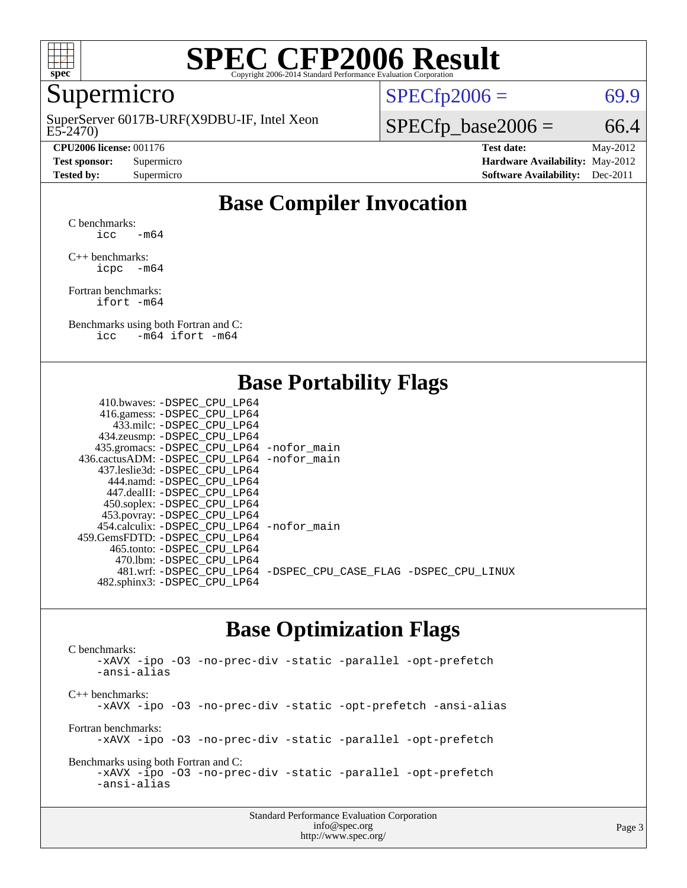

### Supermicro

E5-2470) SuperServer 6017B-URF(X9DBU-IF, Intel Xeon

 $SPECTp2006 = 69.9$ 

 $SPECTp\_base2006 = 66.4$ 

**[CPU2006 license:](http://www.spec.org/auto/cpu2006/Docs/result-fields.html#CPU2006license)** 001176 **[Test date:](http://www.spec.org/auto/cpu2006/Docs/result-fields.html#Testdate)** May-2012 **[Test sponsor:](http://www.spec.org/auto/cpu2006/Docs/result-fields.html#Testsponsor)** Supermicro **[Hardware Availability:](http://www.spec.org/auto/cpu2006/Docs/result-fields.html#HardwareAvailability)** May-2012 **[Tested by:](http://www.spec.org/auto/cpu2006/Docs/result-fields.html#Testedby)** Supermicro **Supermicro [Software Availability:](http://www.spec.org/auto/cpu2006/Docs/result-fields.html#SoftwareAvailability)** Dec-2011

#### **[Base Compiler Invocation](http://www.spec.org/auto/cpu2006/Docs/result-fields.html#BaseCompilerInvocation)**

[C benchmarks](http://www.spec.org/auto/cpu2006/Docs/result-fields.html#Cbenchmarks): icc  $-m64$ 

[C++ benchmarks:](http://www.spec.org/auto/cpu2006/Docs/result-fields.html#CXXbenchmarks) [icpc -m64](http://www.spec.org/cpu2006/results/res2012q3/cpu2006-20120820-24255.flags.html#user_CXXbase_intel_icpc_64bit_bedb90c1146cab66620883ef4f41a67e)

[Fortran benchmarks](http://www.spec.org/auto/cpu2006/Docs/result-fields.html#Fortranbenchmarks): [ifort -m64](http://www.spec.org/cpu2006/results/res2012q3/cpu2006-20120820-24255.flags.html#user_FCbase_intel_ifort_64bit_ee9d0fb25645d0210d97eb0527dcc06e)

[Benchmarks using both Fortran and C](http://www.spec.org/auto/cpu2006/Docs/result-fields.html#BenchmarksusingbothFortranandC): [icc -m64](http://www.spec.org/cpu2006/results/res2012q3/cpu2006-20120820-24255.flags.html#user_CC_FCbase_intel_icc_64bit_0b7121f5ab7cfabee23d88897260401c) [ifort -m64](http://www.spec.org/cpu2006/results/res2012q3/cpu2006-20120820-24255.flags.html#user_CC_FCbase_intel_ifort_64bit_ee9d0fb25645d0210d97eb0527dcc06e)

#### **[Base Portability Flags](http://www.spec.org/auto/cpu2006/Docs/result-fields.html#BasePortabilityFlags)**

| 410.bwaves: -DSPEC CPU LP64                  |                                                                |
|----------------------------------------------|----------------------------------------------------------------|
| 416.gamess: -DSPEC_CPU_LP64                  |                                                                |
| 433.milc: -DSPEC CPU LP64                    |                                                                |
| 434.zeusmp: -DSPEC_CPU_LP64                  |                                                                |
| 435.gromacs: -DSPEC_CPU_LP64 -nofor_main     |                                                                |
| 436.cactusADM: - DSPEC CPU LP64 - nofor main |                                                                |
| 437.leslie3d: -DSPEC CPU LP64                |                                                                |
| 444.namd: -DSPEC CPU LP64                    |                                                                |
| 447.dealII: - DSPEC CPU LP64                 |                                                                |
| 450.soplex: -DSPEC_CPU_LP64                  |                                                                |
| 453.povray: -DSPEC_CPU_LP64                  |                                                                |
| 454.calculix: -DSPEC CPU LP64 -nofor main    |                                                                |
| 459.GemsFDTD: - DSPEC_CPU LP64               |                                                                |
| 465.tonto: - DSPEC CPU LP64                  |                                                                |
| 470.1bm: -DSPEC CPU LP64                     |                                                                |
|                                              | 481.wrf: -DSPEC CPU_LP64 -DSPEC_CPU_CASE_FLAG -DSPEC_CPU_LINUX |
| 482.sphinx3: -DSPEC_CPU_LP64                 |                                                                |
|                                              |                                                                |

#### **[Base Optimization Flags](http://www.spec.org/auto/cpu2006/Docs/result-fields.html#BaseOptimizationFlags)**

[C benchmarks](http://www.spec.org/auto/cpu2006/Docs/result-fields.html#Cbenchmarks): [-xAVX](http://www.spec.org/cpu2006/results/res2012q3/cpu2006-20120820-24255.flags.html#user_CCbase_f-xAVX) [-ipo](http://www.spec.org/cpu2006/results/res2012q3/cpu2006-20120820-24255.flags.html#user_CCbase_f-ipo) [-O3](http://www.spec.org/cpu2006/results/res2012q3/cpu2006-20120820-24255.flags.html#user_CCbase_f-O3) [-no-prec-div](http://www.spec.org/cpu2006/results/res2012q3/cpu2006-20120820-24255.flags.html#user_CCbase_f-no-prec-div) [-static](http://www.spec.org/cpu2006/results/res2012q3/cpu2006-20120820-24255.flags.html#user_CCbase_f-static) [-parallel](http://www.spec.org/cpu2006/results/res2012q3/cpu2006-20120820-24255.flags.html#user_CCbase_f-parallel) [-opt-prefetch](http://www.spec.org/cpu2006/results/res2012q3/cpu2006-20120820-24255.flags.html#user_CCbase_f-opt-prefetch) [-ansi-alias](http://www.spec.org/cpu2006/results/res2012q3/cpu2006-20120820-24255.flags.html#user_CCbase_f-ansi-alias) [C++ benchmarks:](http://www.spec.org/auto/cpu2006/Docs/result-fields.html#CXXbenchmarks) [-xAVX](http://www.spec.org/cpu2006/results/res2012q3/cpu2006-20120820-24255.flags.html#user_CXXbase_f-xAVX) [-ipo](http://www.spec.org/cpu2006/results/res2012q3/cpu2006-20120820-24255.flags.html#user_CXXbase_f-ipo) [-O3](http://www.spec.org/cpu2006/results/res2012q3/cpu2006-20120820-24255.flags.html#user_CXXbase_f-O3) [-no-prec-div](http://www.spec.org/cpu2006/results/res2012q3/cpu2006-20120820-24255.flags.html#user_CXXbase_f-no-prec-div) [-static](http://www.spec.org/cpu2006/results/res2012q3/cpu2006-20120820-24255.flags.html#user_CXXbase_f-static) [-opt-prefetch](http://www.spec.org/cpu2006/results/res2012q3/cpu2006-20120820-24255.flags.html#user_CXXbase_f-opt-prefetch) [-ansi-alias](http://www.spec.org/cpu2006/results/res2012q3/cpu2006-20120820-24255.flags.html#user_CXXbase_f-ansi-alias) [Fortran benchmarks](http://www.spec.org/auto/cpu2006/Docs/result-fields.html#Fortranbenchmarks): [-xAVX](http://www.spec.org/cpu2006/results/res2012q3/cpu2006-20120820-24255.flags.html#user_FCbase_f-xAVX) [-ipo](http://www.spec.org/cpu2006/results/res2012q3/cpu2006-20120820-24255.flags.html#user_FCbase_f-ipo) [-O3](http://www.spec.org/cpu2006/results/res2012q3/cpu2006-20120820-24255.flags.html#user_FCbase_f-O3) [-no-prec-div](http://www.spec.org/cpu2006/results/res2012q3/cpu2006-20120820-24255.flags.html#user_FCbase_f-no-prec-div) [-static](http://www.spec.org/cpu2006/results/res2012q3/cpu2006-20120820-24255.flags.html#user_FCbase_f-static) [-parallel](http://www.spec.org/cpu2006/results/res2012q3/cpu2006-20120820-24255.flags.html#user_FCbase_f-parallel) [-opt-prefetch](http://www.spec.org/cpu2006/results/res2012q3/cpu2006-20120820-24255.flags.html#user_FCbase_f-opt-prefetch) [Benchmarks using both Fortran and C](http://www.spec.org/auto/cpu2006/Docs/result-fields.html#BenchmarksusingbothFortranandC): [-xAVX](http://www.spec.org/cpu2006/results/res2012q3/cpu2006-20120820-24255.flags.html#user_CC_FCbase_f-xAVX) [-ipo](http://www.spec.org/cpu2006/results/res2012q3/cpu2006-20120820-24255.flags.html#user_CC_FCbase_f-ipo) [-O3](http://www.spec.org/cpu2006/results/res2012q3/cpu2006-20120820-24255.flags.html#user_CC_FCbase_f-O3) [-no-prec-div](http://www.spec.org/cpu2006/results/res2012q3/cpu2006-20120820-24255.flags.html#user_CC_FCbase_f-no-prec-div) [-static](http://www.spec.org/cpu2006/results/res2012q3/cpu2006-20120820-24255.flags.html#user_CC_FCbase_f-static) [-parallel](http://www.spec.org/cpu2006/results/res2012q3/cpu2006-20120820-24255.flags.html#user_CC_FCbase_f-parallel) [-opt-prefetch](http://www.spec.org/cpu2006/results/res2012q3/cpu2006-20120820-24255.flags.html#user_CC_FCbase_f-opt-prefetch) [-ansi-alias](http://www.spec.org/cpu2006/results/res2012q3/cpu2006-20120820-24255.flags.html#user_CC_FCbase_f-ansi-alias)

| <b>Standard Performance Evaluation Corporation</b> |
|----------------------------------------------------|
| info@spec.org                                      |
| http://www.spec.org/                               |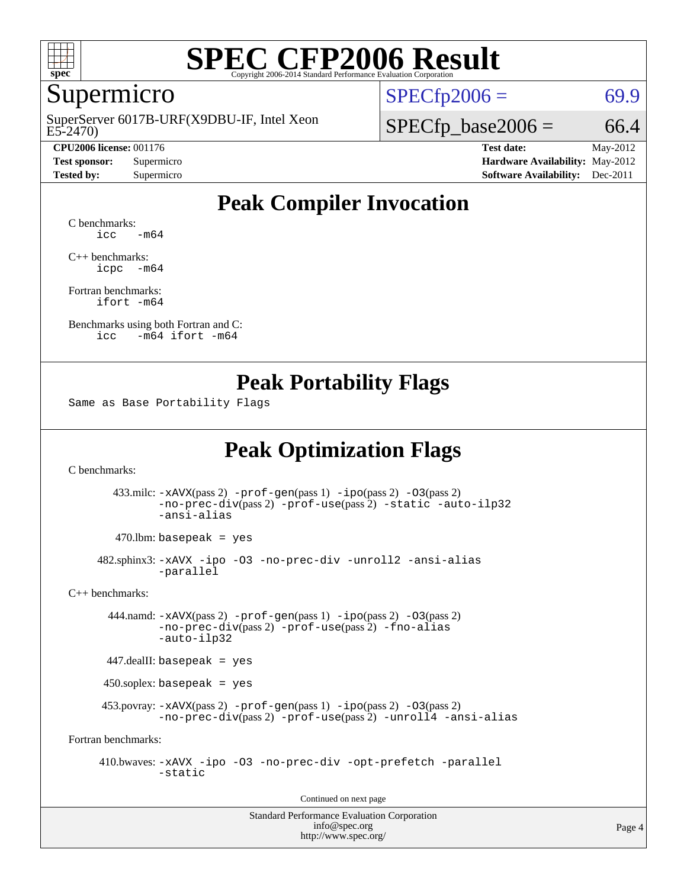

#### Supermicro

E5-2470) SuperServer 6017B-URF(X9DBU-IF, Intel Xeon

 $SPECTp2006 = 69.9$ 

 $SPECTp\_base2006 = 66.4$ 

**[CPU2006 license:](http://www.spec.org/auto/cpu2006/Docs/result-fields.html#CPU2006license)** 001176 **[Test date:](http://www.spec.org/auto/cpu2006/Docs/result-fields.html#Testdate)** May-2012 **[Test sponsor:](http://www.spec.org/auto/cpu2006/Docs/result-fields.html#Testsponsor)** Supermicro **[Hardware Availability:](http://www.spec.org/auto/cpu2006/Docs/result-fields.html#HardwareAvailability)** May-2012 **[Tested by:](http://www.spec.org/auto/cpu2006/Docs/result-fields.html#Testedby)** Supermicro **Supermicro [Software Availability:](http://www.spec.org/auto/cpu2006/Docs/result-fields.html#SoftwareAvailability)** Dec-2011

#### **[Peak Compiler Invocation](http://www.spec.org/auto/cpu2006/Docs/result-fields.html#PeakCompilerInvocation)**

[C benchmarks](http://www.spec.org/auto/cpu2006/Docs/result-fields.html#Cbenchmarks):  $\text{icc}$   $-\text{m64}$ 

[C++ benchmarks:](http://www.spec.org/auto/cpu2006/Docs/result-fields.html#CXXbenchmarks) [icpc -m64](http://www.spec.org/cpu2006/results/res2012q3/cpu2006-20120820-24255.flags.html#user_CXXpeak_intel_icpc_64bit_bedb90c1146cab66620883ef4f41a67e)

[Fortran benchmarks](http://www.spec.org/auto/cpu2006/Docs/result-fields.html#Fortranbenchmarks): [ifort -m64](http://www.spec.org/cpu2006/results/res2012q3/cpu2006-20120820-24255.flags.html#user_FCpeak_intel_ifort_64bit_ee9d0fb25645d0210d97eb0527dcc06e)

[Benchmarks using both Fortran and C](http://www.spec.org/auto/cpu2006/Docs/result-fields.html#BenchmarksusingbothFortranandC): [icc -m64](http://www.spec.org/cpu2006/results/res2012q3/cpu2006-20120820-24255.flags.html#user_CC_FCpeak_intel_icc_64bit_0b7121f5ab7cfabee23d88897260401c) [ifort -m64](http://www.spec.org/cpu2006/results/res2012q3/cpu2006-20120820-24255.flags.html#user_CC_FCpeak_intel_ifort_64bit_ee9d0fb25645d0210d97eb0527dcc06e)

#### **[Peak Portability Flags](http://www.spec.org/auto/cpu2006/Docs/result-fields.html#PeakPortabilityFlags)**

Same as Base Portability Flags

### **[Peak Optimization Flags](http://www.spec.org/auto/cpu2006/Docs/result-fields.html#PeakOptimizationFlags)**

[C benchmarks](http://www.spec.org/auto/cpu2006/Docs/result-fields.html#Cbenchmarks):

 433.milc: [-xAVX](http://www.spec.org/cpu2006/results/res2012q3/cpu2006-20120820-24255.flags.html#user_peakPASS2_CFLAGSPASS2_LDFLAGS433_milc_f-xAVX)(pass 2) [-prof-gen](http://www.spec.org/cpu2006/results/res2012q3/cpu2006-20120820-24255.flags.html#user_peakPASS1_CFLAGSPASS1_LDFLAGS433_milc_prof_gen_e43856698f6ca7b7e442dfd80e94a8fc)(pass 1) [-ipo](http://www.spec.org/cpu2006/results/res2012q3/cpu2006-20120820-24255.flags.html#user_peakPASS2_CFLAGSPASS2_LDFLAGS433_milc_f-ipo)(pass 2) [-O3](http://www.spec.org/cpu2006/results/res2012q3/cpu2006-20120820-24255.flags.html#user_peakPASS2_CFLAGSPASS2_LDFLAGS433_milc_f-O3)(pass 2) [-no-prec-div](http://www.spec.org/cpu2006/results/res2012q3/cpu2006-20120820-24255.flags.html#user_peakPASS2_CFLAGSPASS2_LDFLAGS433_milc_f-no-prec-div)(pass 2) [-prof-use](http://www.spec.org/cpu2006/results/res2012q3/cpu2006-20120820-24255.flags.html#user_peakPASS2_CFLAGSPASS2_LDFLAGS433_milc_prof_use_bccf7792157ff70d64e32fe3e1250b55)(pass 2) [-static](http://www.spec.org/cpu2006/results/res2012q3/cpu2006-20120820-24255.flags.html#user_peakOPTIMIZE433_milc_f-static) [-auto-ilp32](http://www.spec.org/cpu2006/results/res2012q3/cpu2006-20120820-24255.flags.html#user_peakCOPTIMIZE433_milc_f-auto-ilp32) [-ansi-alias](http://www.spec.org/cpu2006/results/res2012q3/cpu2006-20120820-24255.flags.html#user_peakCOPTIMIZE433_milc_f-ansi-alias)

 $470.$ lbm: basepeak = yes

 482.sphinx3: [-xAVX](http://www.spec.org/cpu2006/results/res2012q3/cpu2006-20120820-24255.flags.html#user_peakOPTIMIZE482_sphinx3_f-xAVX) [-ipo](http://www.spec.org/cpu2006/results/res2012q3/cpu2006-20120820-24255.flags.html#user_peakOPTIMIZE482_sphinx3_f-ipo) [-O3](http://www.spec.org/cpu2006/results/res2012q3/cpu2006-20120820-24255.flags.html#user_peakOPTIMIZE482_sphinx3_f-O3) [-no-prec-div](http://www.spec.org/cpu2006/results/res2012q3/cpu2006-20120820-24255.flags.html#user_peakOPTIMIZE482_sphinx3_f-no-prec-div) [-unroll2](http://www.spec.org/cpu2006/results/res2012q3/cpu2006-20120820-24255.flags.html#user_peakCOPTIMIZE482_sphinx3_f-unroll_784dae83bebfb236979b41d2422d7ec2) [-ansi-alias](http://www.spec.org/cpu2006/results/res2012q3/cpu2006-20120820-24255.flags.html#user_peakCOPTIMIZE482_sphinx3_f-ansi-alias) [-parallel](http://www.spec.org/cpu2006/results/res2012q3/cpu2006-20120820-24255.flags.html#user_peakCOPTIMIZE482_sphinx3_f-parallel)

[C++ benchmarks:](http://www.spec.org/auto/cpu2006/Docs/result-fields.html#CXXbenchmarks)

 444.namd: [-xAVX](http://www.spec.org/cpu2006/results/res2012q3/cpu2006-20120820-24255.flags.html#user_peakPASS2_CXXFLAGSPASS2_LDFLAGS444_namd_f-xAVX)(pass 2) [-prof-gen](http://www.spec.org/cpu2006/results/res2012q3/cpu2006-20120820-24255.flags.html#user_peakPASS1_CXXFLAGSPASS1_LDFLAGS444_namd_prof_gen_e43856698f6ca7b7e442dfd80e94a8fc)(pass 1) [-ipo](http://www.spec.org/cpu2006/results/res2012q3/cpu2006-20120820-24255.flags.html#user_peakPASS2_CXXFLAGSPASS2_LDFLAGS444_namd_f-ipo)(pass 2) [-O3](http://www.spec.org/cpu2006/results/res2012q3/cpu2006-20120820-24255.flags.html#user_peakPASS2_CXXFLAGSPASS2_LDFLAGS444_namd_f-O3)(pass 2) [-no-prec-div](http://www.spec.org/cpu2006/results/res2012q3/cpu2006-20120820-24255.flags.html#user_peakPASS2_CXXFLAGSPASS2_LDFLAGS444_namd_f-no-prec-div)(pass 2) [-prof-use](http://www.spec.org/cpu2006/results/res2012q3/cpu2006-20120820-24255.flags.html#user_peakPASS2_CXXFLAGSPASS2_LDFLAGS444_namd_prof_use_bccf7792157ff70d64e32fe3e1250b55)(pass 2) [-fno-alias](http://www.spec.org/cpu2006/results/res2012q3/cpu2006-20120820-24255.flags.html#user_peakCXXOPTIMIZEOPTIMIZE444_namd_f-no-alias_694e77f6c5a51e658e82ccff53a9e63a) [-auto-ilp32](http://www.spec.org/cpu2006/results/res2012q3/cpu2006-20120820-24255.flags.html#user_peakCXXOPTIMIZE444_namd_f-auto-ilp32)

447.dealII: basepeak = yes

450.soplex: basepeak = yes

 453.povray: [-xAVX](http://www.spec.org/cpu2006/results/res2012q3/cpu2006-20120820-24255.flags.html#user_peakPASS2_CXXFLAGSPASS2_LDFLAGS453_povray_f-xAVX)(pass 2) [-prof-gen](http://www.spec.org/cpu2006/results/res2012q3/cpu2006-20120820-24255.flags.html#user_peakPASS1_CXXFLAGSPASS1_LDFLAGS453_povray_prof_gen_e43856698f6ca7b7e442dfd80e94a8fc)(pass 1) [-ipo](http://www.spec.org/cpu2006/results/res2012q3/cpu2006-20120820-24255.flags.html#user_peakPASS2_CXXFLAGSPASS2_LDFLAGS453_povray_f-ipo)(pass 2) [-O3](http://www.spec.org/cpu2006/results/res2012q3/cpu2006-20120820-24255.flags.html#user_peakPASS2_CXXFLAGSPASS2_LDFLAGS453_povray_f-O3)(pass 2) [-no-prec-div](http://www.spec.org/cpu2006/results/res2012q3/cpu2006-20120820-24255.flags.html#user_peakPASS2_CXXFLAGSPASS2_LDFLAGS453_povray_f-no-prec-div)(pass 2) [-prof-use](http://www.spec.org/cpu2006/results/res2012q3/cpu2006-20120820-24255.flags.html#user_peakPASS2_CXXFLAGSPASS2_LDFLAGS453_povray_prof_use_bccf7792157ff70d64e32fe3e1250b55)(pass 2) [-unroll4](http://www.spec.org/cpu2006/results/res2012q3/cpu2006-20120820-24255.flags.html#user_peakCXXOPTIMIZE453_povray_f-unroll_4e5e4ed65b7fd20bdcd365bec371b81f) [-ansi-alias](http://www.spec.org/cpu2006/results/res2012q3/cpu2006-20120820-24255.flags.html#user_peakCXXOPTIMIZE453_povray_f-ansi-alias)

[Fortran benchmarks](http://www.spec.org/auto/cpu2006/Docs/result-fields.html#Fortranbenchmarks):

 410.bwaves: [-xAVX](http://www.spec.org/cpu2006/results/res2012q3/cpu2006-20120820-24255.flags.html#user_peakOPTIMIZE410_bwaves_f-xAVX) [-ipo](http://www.spec.org/cpu2006/results/res2012q3/cpu2006-20120820-24255.flags.html#user_peakOPTIMIZE410_bwaves_f-ipo) [-O3](http://www.spec.org/cpu2006/results/res2012q3/cpu2006-20120820-24255.flags.html#user_peakOPTIMIZE410_bwaves_f-O3) [-no-prec-div](http://www.spec.org/cpu2006/results/res2012q3/cpu2006-20120820-24255.flags.html#user_peakOPTIMIZE410_bwaves_f-no-prec-div) [-opt-prefetch](http://www.spec.org/cpu2006/results/res2012q3/cpu2006-20120820-24255.flags.html#user_peakOPTIMIZE410_bwaves_f-opt-prefetch) [-parallel](http://www.spec.org/cpu2006/results/res2012q3/cpu2006-20120820-24255.flags.html#user_peakOPTIMIZE410_bwaves_f-parallel) [-static](http://www.spec.org/cpu2006/results/res2012q3/cpu2006-20120820-24255.flags.html#user_peakOPTIMIZE410_bwaves_f-static)

Continued on next page

Standard Performance Evaluation Corporation [info@spec.org](mailto:info@spec.org) <http://www.spec.org/>